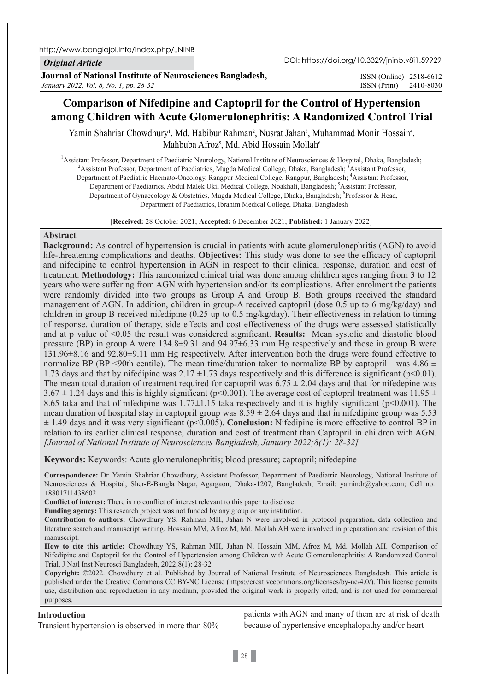http://www.banglajol.info/index.php/JNINB

*Original Article*

**Journal of National Institute of Neurosciences Bangladesh,** *January 2022, Vol. 8, No. 1, pp. 28-32*

ISSN (Print) 2410-8030 ISSN (Online) 2518-6612

# **Comparison of Nifedipine and Captopril for the Control of Hypertension among Children with Acute Glomerulonephritis: A Randomized Control Trial**

Yamin Shahriar Chowdhury<sup>i</sup>, Md. Habibur Rahman<sup>2</sup>, Nusrat Jahan<sup>3</sup>, Muhammad Monir Hossain<sup>4</sup>, Mahbuba Afroz<sup>s</sup>, Md. Abid Hossain Mollah<sup>6</sup>

<sup>1</sup> Assistant Professor, Department of Paediatric Neurology, National Institute of Neurosciences & Hospital, Dhaka, Bangladesh;  $\frac{2 \text{ A}}{2 \text{ A}}$  ceistant Professor, Department of Paediatrics, Muscle Mediael College, Dha Assistant Professor, Department of Paediatrics, Mugda Medical College, Dhaka, Bangladesh; <sup>3</sup>Assistant Professor, Department of Paediatric Haemato-Oncology, Rangpur Medical College, Rangpur, Bangladesh; <sup>4</sup>Assistant Professor, Department of Paediatrics, Abdul Malek Ukil Medical College, Noakhali, Bangladesh; <sup>5</sup>Assistant Professor, Department of Gynaecology & Obstetrics, Mugda Medical College, Dhaka, Bangladesh; Professor & Head, Department of Paediatrics, Ibrahim Medical College, Dhaka, Bangladesh

[**Received:** 28 October 2021; **Accepted:** 6 December 2021; **Published:** 1 January 2022]

# **Abstract**

**Background:** As control of hypertension is crucial in patients with acute glomerulonephritis (AGN) to avoid life-threatening complications and deaths. **Objectives:** This study was done to see the efficacy of captopril and nifedipine to control hypertension in AGN in respect to their clinical response, duration and cost of treatment. **Methodology:** This randomized clinical trial was done among children ages ranging from 3 to 12 years who were suffering from AGN with hypertension and/or its complications. After enrolment the patients were randomly divided into two groups as Group A and Group B. Both groups received the standard management of AGN. In addition, children in group-A received captopril (dose 0.5 up to 6 mg/kg/day) and children in group B received nifedipine (0.25 up to 0.5 mg/kg/day). Their effectiveness in relation to timing of response, duration of therapy, side effects and cost effectiveness of the drugs were assessed statistically and at p value of <0.05 the result was considered significant. **Results:** Mean systolic and diastolic blood pressure (BP) in group A were 134.8±9.31 and 94.97±6.33 mm Hg respectively and those in group B were 131.96±8.16 and 92.80±9.11 mm Hg respectively. After intervention both the drugs were found effective to normalize BP (BP <90th centile). The mean time/duration taken to normalize BP by captopril was  $4.86 \pm$ 1.73 days and that by nifedipine was  $2.17 \pm 1.73$  days respectively and this difference is significant (p<0.01). The mean total duration of treatment required for captopril was  $6.75 \pm 2.04$  days and that for nifedepine was 3.67  $\pm$  1.24 days and this is highly significant (p<0.001). The average cost of captopril treatment was 11.95  $\pm$ 8.65 taka and that of nifedipine was  $1.77\pm1.15$  taka respectively and it is highly significant (p<0.001). The mean duration of hospital stay in captopril group was  $8.59 \pm 2.64$  days and that in nifedipine group was 5.53 ± 1.49 days and it was very significant (p<0.005). **Conclusion:** Nifedipine is more effective to control BP in relation to its earlier clinical response, duration and cost of treatment than Captopril in children with AGN. *[Journal of National Institute of Neurosciences Bangladesh, January 2022;8(1): 28-32]*

**Keywords:** Keywords: Acute glomerulonephritis; blood pressure; captopril; nifedepine

**Correspondence:** Dr. Yamin Shahriar Chowdhury, Assistant Professor, Department of Paediatric Neurology, National Institute of Neurosciences & Hospital, Sher-E-Bangla Nagar, Agargaon, Dhaka-1207, Bangladesh; Email: yamindr@yahoo.com; Cell no.: +8801711438602

**Conflict of interest:** There is no conflict of interest relevant to this paper to disclose.

**Funding agency:** This research project was not funded by any group or any institution.

**Contribution to authors:** Chowdhury YS, Rahman MH, Jahan N were involved in protocol preparation, data collection and literature search and manuscript writing. Hossain MM, Afroz M, Md. Mollah AH were involved in preparation and revision of this manuscript.

**How to cite this article:** Chowdhury YS, Rahman MH, Jahan N, Hossain MM, Afroz M, Md. Mollah AH. Comparison of Nifedipine and Captopril for the Control of Hypertension among Children with Acute Glomerulonephritis: A Randomized Control Trial. J Natl Inst Neurosci Bangladesh, 2022;8(1): 28-32

**Copyright:** ©2022. Chowdhury et al. Published by Journal of National Institute of Neurosciences Bangladesh. This article is published under the Creative Commons CC BY-NC License (https://creativecommons.org/licenses/by-nc/4.0/). This license permits use, distribution and reproduction in any medium, provided the original work is properly cited, and is not used for commercial purposes.

#### **Introduction**

Transient hypertension is observed in more than 80%

patients with AGN and many of them are at risk of death because of hypertensive encephalopathy and/or heart

 $\vert$  28  $\vert$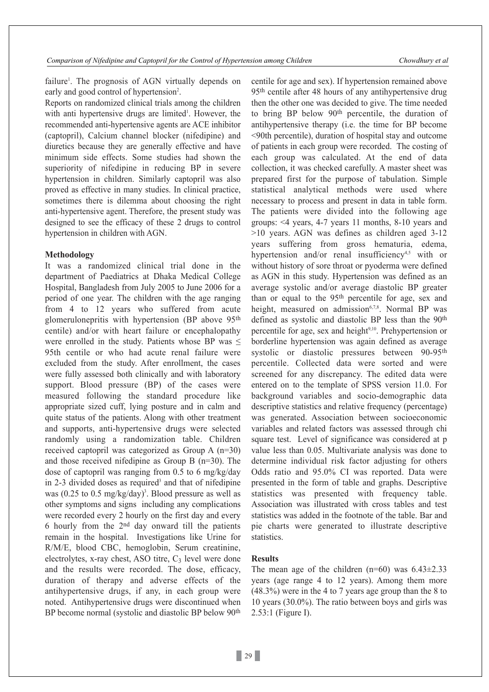failure<sup>1</sup>. The prognosis of AGN virtually depends on early and good control of hypertension<sup>2</sup>.

Reports on randomized clinical trials among the children with anti hypertensive drugs are limited<sup>1</sup>. However, the recommended anti-hypertensive agents are ACE inhibitor (captopril), Calcium channel blocker (nifedipine) and diuretics because they are generally effective and have minimum side effects. Some studies had shown the superiority of nifedipine in reducing BP in severe hypertension in children. Similarly captopril was also proved as effective in many studies. In clinical practice, sometimes there is dilemma about choosing the right anti-hypertensive agent. Therefore, the present study was designed to see the efficacy of these 2 drugs to control hypertension in children with AGN.

#### **Methodology**

It was a randomized clinical trial done in the department of Paediatrics at Dhaka Medical College Hospital, Bangladesh from July 2005 to June 2006 for a period of one year. The children with the age ranging from 4 to 12 years who suffered from acute glomerulonepritis with hypertension (BP above 95th centile) and/or with heart failure or encephalopathy were enrolled in the study. Patients whose BP was  $\leq$ 95th centile or who had acute renal failure were excluded from the study. After enrollment, the cases were fully assessed both clinically and with laboratory support. Blood pressure (BP) of the cases were measured following the standard procedure like appropriate sized cuff, lying posture and in calm and quite status of the patients. Along with other treatment and supports, anti-hypertensive drugs were selected randomly using a randomization table. Children received captopril was categorized as Group A (n=30) and those received nifedipine as Group B (n=30). The dose of captopril was ranging from 0.5 to 6 mg/kg/day in 2-3 divided doses as required<sup>3</sup> and that of nifedipine was (0.25 to 0.5 mg/kg/day) 3 . Blood pressure as well as other symptoms and signs including any complications were recorded every 2 hourly on the first day and every 6 hourly from the  $2<sup>nd</sup>$  day onward till the patients remain in the hospital. Investigations like Urine for R/M/E, blood CBC, hemoglobin, Serum creatinine, electrolytes, x-ray chest, ASO titre,  $C_3$  level were done and the results were recorded. The dose, efficacy, duration of therapy and adverse effects of the antihypertensive drugs, if any, in each group were noted. Antihypertensive drugs were discontinued when BP become normal (systolic and diastolic BP below 90th

centile for age and sex). If hypertension remained above 95th centile after 48 hours of any antihypertensive drug then the other one was decided to give. The time needed to bring BP below 90<sup>th</sup> percentile, the duration of antihypertensive therapy (i.e. the time for BP become <90th percentile), duration of hospital stay and outcome of patients in each group were recorded. The costing of each group was calculated. At the end of data collection, it was checked carefully. A master sheet was prepared first for the purpose of tabulation. Simple statistical analytical methods were used where necessary to process and present in data in table form. The patients were divided into the following age groups: <4 years, 4-7 years 11 months, 8-10 years and >10 years. AGN was defines as children aged 3-12 years suffering from gross hematuria, edema, hypertension and/or renal insufficiency<sup>4,5</sup> with or without history of sore throat or pyoderma were defined as AGN in this study. Hypertension was defined as an average systolic and/or average diastolic BP greater than or equal to the 95th percentile for age, sex and height, measured on admission<sup>6,7,8</sup>. Normal BP was defined as systolic and diastolic BP less than the 90th percentile for age, sex and height<sup>9,10</sup>. Prehypertension or borderline hypertension was again defined as average systolic or diastolic pressures between 90-95<sup>th</sup> percentile. Collected data were sorted and were screened for any discrepancy. The edited data were entered on to the template of SPSS version 11.0. For background variables and socio-demographic data descriptive statistics and relative frequency (percentage) was generated. Association between socioeconomic variables and related factors was assessed through chi square test. Level of significance was considered at p value less than 0.05. Multivariate analysis was done to determine individual risk factor adjusting for others Odds ratio and 95.0% CI was reported. Data were presented in the form of table and graphs. Descriptive statistics was presented with frequency table. Association was illustrated with cross tables and test statistics was added in the footnote of the table. Bar and pie charts were generated to illustrate descriptive statistics.

#### **Results**

The mean age of the children  $(n=60)$  was  $6.43\pm2.33$ years (age range 4 to 12 years). Among them more (48.3%) were in the 4 to 7 years age group than the 8 to 10 years (30.0%). The ratio between boys and girls was 2.53:1 (Figure I).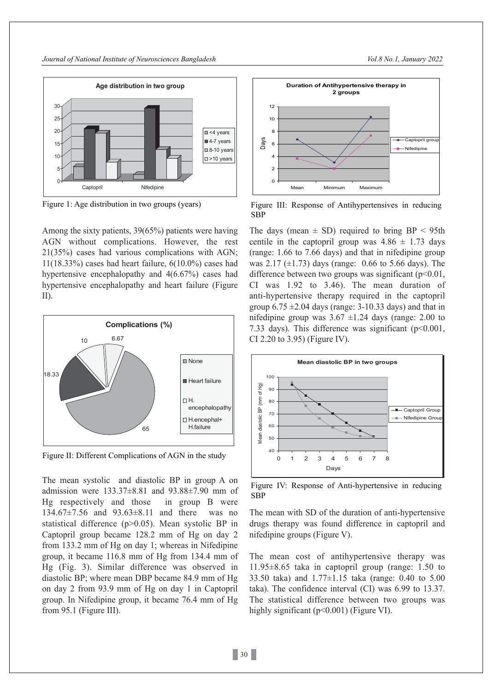

Among the sixty patients, 39(65%) patients were having AGN without complications. However, the rest 21(35%) cases had various complications with AGN; 11(18.33%) cases had heart failure, 6(10.0%) cases had hypertensive encephalopathy and 4(6.67%) cases had hypertensive encephalopathy and heart failure (Figure II).



Figure II: Different Complications of AGN in the study

The mean systolic and diastolic BP in group A on admission were 133.37±8.81 and 93.88±7.90 mm of Hg respectively and those in group B were 134.67±7.56 and 93.63±8.11 and there was no statistical difference (p>0.05). Mean systolic BP in Captopril group became 128.2 mm of Hg on day 2 from 133.2 mm of Hg on day 1; whereas in Nifedipine group, it became 116.8 mm of Hg from 134.4 mm of Hg (Fig. 3). Similar difference was observed in diastolic BP; where mean DBP became 84.9 mm of Hg on day 2 from 93.9 mm of Hg on day 1 in Captopril group. In Nifedipine group, it became 76.4 mm of Hg from 95.1 (Figure III).



Figure 1: Age distribution in two groups (years) Figure III: Response of Antihypertensives in reducing SBP

The days (mean  $\pm$  SD) required to bring BP < 95th centile in the captopril group was  $4.86 \pm 1.73$  days (range: 1.66 to 7.66 days) and that in nifedipine group was 2.17  $(\pm 1.73)$  days (range: 0.66 to 5.66 days). The difference between two groups was significant  $(p<0.01$ , CI was 1.92 to 3.46). The mean duration of anti-hypertensive therapy required in the captopril group  $6.75 \pm 2.04$  days (range: 3-10.33 days) and that in nifedipine group was  $3.67 \pm 1.24$  days (range: 2.00 to 7.33 days). This difference was significant  $(p<0.001$ , CI 2.20 to 3.95) (Figure IV).



Figure IV: Response of Anti-hypertensive in reducing SBP

The mean with SD of the duration of anti-hypertensive drugs therapy was found difference in captopril and nifedipine groups (Figure V).

The mean cost of antihypertensive therapy was 11.95±8.65 taka in captopril group (range: 1.50 to 33.50 taka) and 1.77±1.15 taka (range: 0.40 to 5.00 taka). The confidence interval (CI) was 6.99 to 13.37. The statistical difference between two groups was highly significant ( $p<0.001$ ) (Figure VI).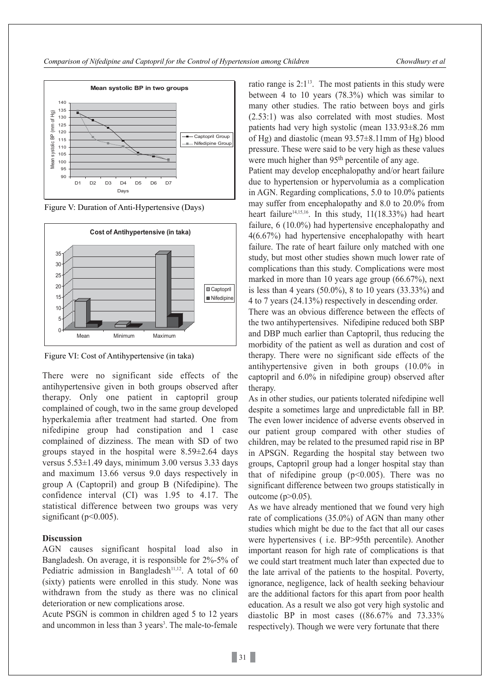

Figure V: Duration of Anti-Hypertensive (Days)



Figure VI: Cost of Antihypertensive (in taka)

There were no significant side effects of the antihypertensive given in both groups observed after therapy. Only one patient in captopril group complained of cough, two in the same group developed hyperkalemia after treatment had started. One from nifedipine group had constipation and 1 case complained of dizziness. The mean with SD of two groups stayed in the hospital were  $8.59\pm2.64$  days versus 5.53±1.49 days, minimum 3.00 versus 3.33 days and maximum 13.66 versus 9.0 days respectively in group A (Captopril) and group B (Nifedipine). The confidence interval (CI) was 1.95 to 4.17. The statistical difference between two groups was very significant ( $p<0.005$ ).

## **Discussion**

AGN causes significant hospital load also in Bangladesh. On average, it is responsible for 2%-5% of Pediatric admission in Bangladesh<sup>11,12</sup>. A total of  $60$ (sixty) patients were enrolled in this study. None was withdrawn from the study as there was no clinical deterioration or new complications arose.

Acute PSGN is common in children aged 5 to 12 years and uncommon in less than 3 years<sup>3</sup>. The male-to-female ratio range is  $2:1^{13}$ . The most patients in this study were between 4 to 10 years (78.3%) which was similar to many other studies. The ratio between boys and girls (2.53:1) was also correlated with most studies. Most patients had very high systolic (mean 133.93±8.26 mm of Hg) and diastolic (mean 93.57±8.11mm of Hg) blood pressure. These were said to be very high as these values were much higher than 95<sup>th</sup> percentile of any age.

Patient may develop encephalopathy and/or heart failure due to hypertension or hypervolumia as a complication in AGN. Regarding complications, 5.0 to 10.0% patients may suffer from encephalopathy and 8.0 to 20.0% from heart failure<sup>14,15,16</sup>. In this study,  $11(18.33%)$  had heart failure, 6 (10.0%) had hypertensive encephalopathy and 4(6.67%) had hypertensive encephalopathy with heart failure. The rate of heart failure only matched with one study, but most other studies shown much lower rate of complications than this study. Complications were most marked in more than 10 years age group (66.67%), next is less than 4 years (50.0%), 8 to 10 years (33.33%) and 4 to 7 years (24.13%) respectively in descending order.

There was an obvious difference between the effects of the two antihypertensives. Nifedipine reduced both SBP and DBP much earlier than Captopril, thus reducing the morbidity of the patient as well as duration and cost of therapy. There were no significant side effects of the antihypertensive given in both groups (10.0% in captopril and 6.0% in nifedipine group) observed after therapy.

As in other studies, our patients tolerated nifedipine well despite a sometimes large and unpredictable fall in BP. The even lower incidence of adverse events observed in our patient group compared with other studies of children, may be related to the presumed rapid rise in BP in APSGN. Regarding the hospital stay between two groups, Captopril group had a longer hospital stay than that of nifedipine group  $(p<0.005)$ . There was no significant difference between two groups statistically in outcome  $(p>0.05)$ .

As we have already mentioned that we found very high rate of complications (35.0%) of AGN than many other studies which might be due to the fact that all our cases were hypertensives ( i.e. BP>95th percentile). Another important reason for high rate of complications is that we could start treatment much later than expected due to the late arrival of the patients to the hospital. Poverty, ignorance, negligence, lack of health seeking behaviour are the additional factors for this apart from poor health education. As a result we also got very high systolic and diastolic BP in most cases ((86.67% and 73.33% respectively). Though we were very fortunate that there